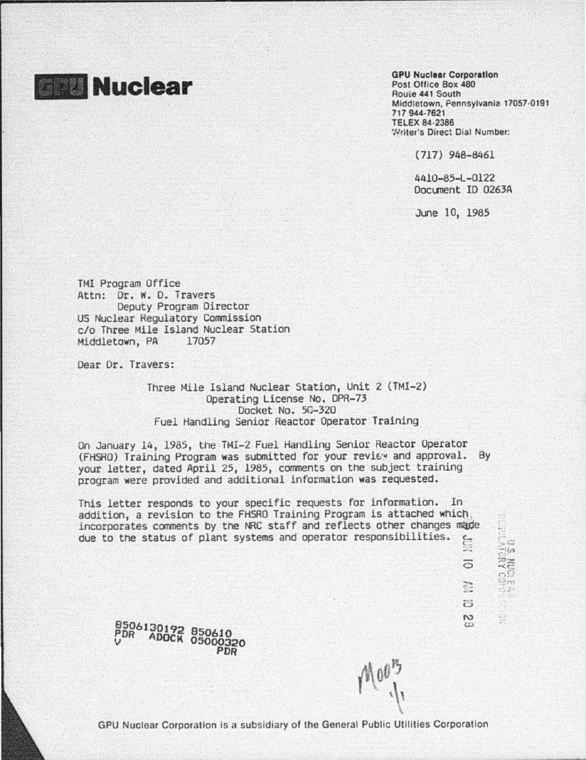

GPU Nucleer Corporation Post Office Box 460 Route 441 South Middletown, Pennsylvania 17057·0191 717 944·7621 TELEX 84·2386 'Nrller's Direc: Dial Number:

( 717) 948-8461

4410-85-L-0122 Document ID 026JA

June 10, 1985

TMI Program Office Attn: Dr. w. D. Travers Deputy Program Director US Nuclear Hegulatory Commission c/o Three Mile Island Nuclear Station Middletown, PA

Dear Dr. Travers:

Three Mile Island Nuclear Station, Unit 2 (TMI-2) Operating License No. DPR-73 Docket No. 50-320 Fuel Handling Senior Reactor Operator Training

On January 14, 1985, the TMI-2 Fuel Handling Senior Reactor Operator<br>(FHSRO) Training Program was submitted for your review and approval. By your letter, dated April 25, 1985, comments on the subject training program were provided and additional information was requested.

This letter responds to your specific requests for information. In addition, a revision to the FHSRO Training Program is attached which incorporates comments by the NRC staff and reflects other changes made due to the status of plant systems and operator responsibilities. -::

H ankling. E.  $\overline{C}$  $\overline{\mathbb{S}}_d$  $\omega$ 

 $\overline{5}$ 



 $\sqrt{100}$ 

 $\beta$ 

GPU Nuclear Corporation is a subsidiary of the General Public Utilities Corporation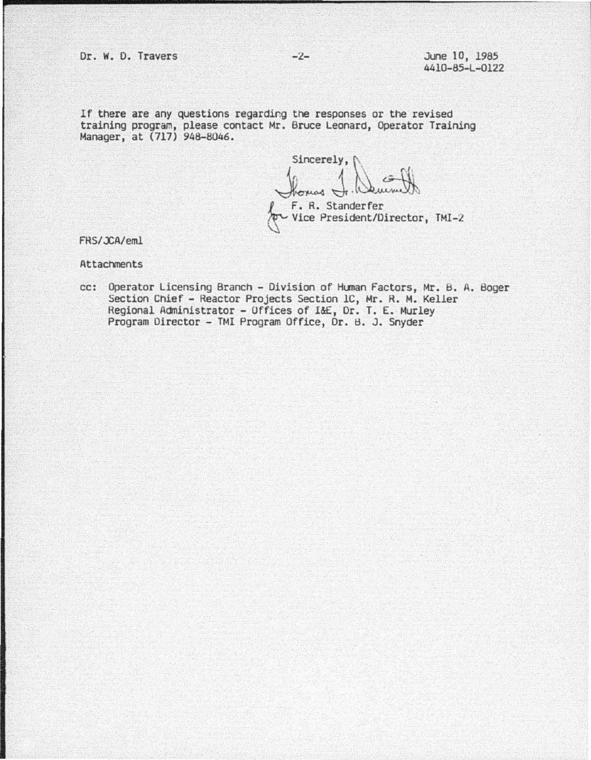If there are any questions regarding the responses or the revised training program, please contact Mr. Bruce Leonard, Operator Training Manager, at (717) 948-8046.

Sincerely, £·1.~ *L\_* F. R. Standerfer - Vice President/Director, TMI-2

FRS/*JCA/eml* 

**Attachments** 

cc: Operator Licensing Branch - Division of Human Factors, Mr. B. A. Boger Section Chief - Reactor Projects Section lC, Mr. R. M. Keller Regional Administrator - Offices of 1&E, Dr. T. E. Murley<br>Program Director - TMI Program Office, Dr. B. J. Snyder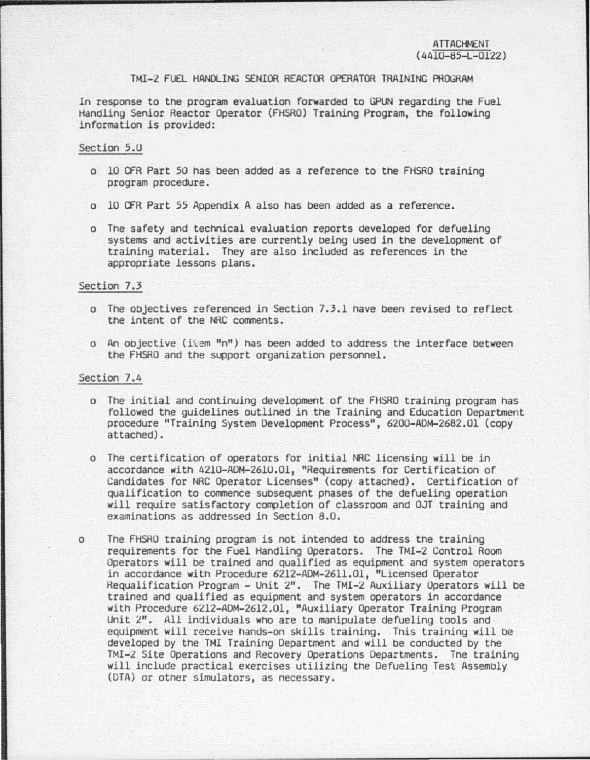### TMI-2 FUEL HANDLING SENIOR REACTOR OPERATOR TRAINING PROGRAM

In response to tne program evaluation forwarded to GPUN regarding the Fuel Handling Senior Reactor Operator (FHSRO) Training Program, the following information is provided:

#### Section 5.0

- o *10* CFR Part 50 has been added as a reference to the FHSRO training program procedure.
- o 10 CFR Part 55 Appendix A also has been added as a reference.
- o Tne safety and technical evaluation reports developed for defueling systems and activities are currently being used in the development of training material. They are also included as references in the appropriate lessons plans.

# Section 7.3

- o The objectives referenced in Section 7.3.1 nave been revised to reflect the intent of tne NRC comments.
- o An objective (item "n") has been added to address the interface between the FHSRO and the support organization personnel.

### Section 7.4

- o The initial and continuing development of the F16RO training program has followed the guidelines outlined in the Training and Education Department procedure "Training System Development Process", 6200-ADM-2682.0l (copy attached).
- o The certification of operators for initial NRC licensing will be in accordance with 4210-ADM-261U.Ol, "Requirements for Certification of Candidates for NRC Operator Licenses" (copy attached). Certification of qualification to commence suosequent phases of the defueling operation will require satisfactory completion of classroom and OJT training and examinations as addressed in Section 8.0.
- o The FHSRO training program is not intended to address the training requirements for the Fuel Handling Operators. The TMI-2 Control Room in accordance with Procedure 6212-ADM-2611.01, "Licensed Operator<br>Requalification Program - Unit 2". The TMI-2 Auxiliary Operators will be trained and qualified as equipment and system operators in accordance with Procedure 6212-ADM-2612.01, "Auxiliary Operator Training Program Unit 2". All individuals who are to manipulate defueling tools and equipment will receive hands-on skills training. Tnis training will be developed by the TMI Training Department and will be conducted by the TMI-2 Site Operations and Recovery Operations Departments. The training will include practical exercises utilizing the Defueling Test Assembly (DTA) or other simulators, as necessary.